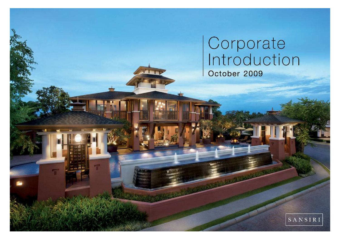# Corporate<br>Introduction October 2009

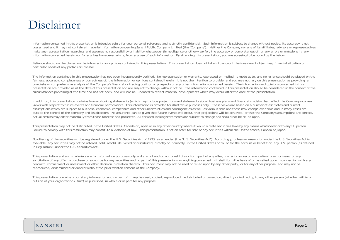### Disclaimer

Information contained in this presentation is intended solely for your personal reference and is strictly confidential. Such information is subject to change without notice, its accuracy is not guaranteed and it may not contain all material information concerning Sansiri Public Company Limited (the "Company"). Neither the Company nor any of its affiliates, advisors or representatives make any representation regarding, and assumes no responsibility or liability whatsoever (in negligence or otherwise) for, the accuracy or completeness of, or any errors or omissions in, any information contained herein nor for any loss howsoever arising from any use of such information. By attending this presentation, you are agreeing to be bound by the below.

Reliance should not be placed on the information or opinions contained in this presentation. This presentation does not take into account the investment objectives, financial situation or particular needs of any particular investor.

The information contained in this presentation has not been independently verified. No representation or warranty, expressed or implied, is made as to, and no reliance should be placed on the fairness, accuracy, completeness or correctness of, the information or opinions contained herein. It is not the intention to provide, and you may not rely on this presentation as providing, a complete or comprehensive analysis of the Company's financial or trading position or prospects or any other information contained herein. The information and opinions contained in this presentation are provided as at the date of this presentation and are subject to change without notice. The information contained in this presentation should be considered in the context of the circumstances prevailing at the time and has not been, and will not be, updated to reflect material developments which may occur after the date of the presentation.

In addition, this presentation contains forward-looking statements (which may include projections and statements about business plans and financial models) that reflect the Company's current views with respect to future events and financial performance. This information is provided for illustrative purposes only. These views are based on a number of estimates and current assumptions which are subject to business, economic, competitive and other uncertainties and contingencies as well as various risks and these may change over time and in many cases are outside the control of the company and its directors. No assurance can be given that future events will occur, that projections will be achieved, or that the Company's assumptions are correct. Actual results may differ materially from those forecast and projected. All forward-looking statements are subject to change and should not be relied upon.

This presentation may not be distributed in the United States, Canada or Japan or in any other country where it would violate securities laws by any means whatsoever or to any US person. Failure to comply with this restriction may constitute a violation of law. This presentation is not an offer for sale of any securities within the United States, Canada or Japan.

No offering of the securities will be registered under the U.S. Securities Act of 1933, as amended (the "U.S. Securities Act"). Accordingly, unless an exemption under the U.S. Securities Act is available, any securities may not be offered, sold, resold, delivered or distributed, directly or indirectly, in the United States or to, or for the account or benefit or, any U.S. person (as defined in Regulation S under the U.S. Securities Act).

This presentation and such materials are for information purposes only and are not and do not constitute or form part of any offer, invitation or recommendation to sell or issue, or any solicitation of any offer to purchase or subscribe for any securities and no part of this presentation nor anything contained in it shall form the basis of or be relied upon in connection with any contract, commitment or investment or other decision in relation thereto. This document may not be used or relied upon by any other party, or for any other purpose, and may not be reproduced, disseminated or quoted without the prior written consent of the Company.

This presentation contains proprietary information and no part of it may be used, copied, reproduced, redistributed or passed on, directly or indirectly, to any other person (whether within or outside of your organization / firm) or published, in whole or in part for any purpose.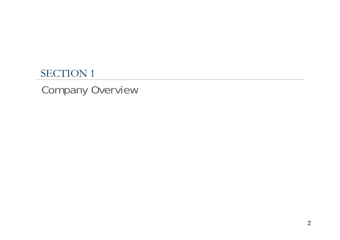### SECTION 1

## Company Overview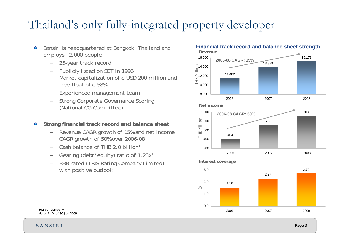## Thailand's only fully-integrated property developer

- Sansiri is headquartered at Bangkok, Thailand and  $\bullet$ employs ~2,000 people
	- − 25-year track record
	- − Publicly listed on SET in 1996 Market capitalization of c.USD 200 million and free-float of c.58%
	- Experienced management team
	- Strong Corporate Governance Scoring (National CG Committee)
- **Strong financial track record and balance sheet**   $\bullet$ 
	- Revenue CAGR growth of 15% and net income CAGR growth of 50% over 2006-08
	- Cash balance of THB 2.0 billion1
	- −Gearing (debt/equity) ratio of 1.23x1
	- BBB rated (TRIS Rating Company Limited) with positive outlook

#### **Financial track record and balance sheet strength**



Source: Company Note: 1. As of 30 Jun 2009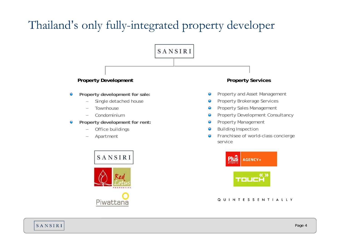## Thailand's only fully-integrated property developer

#### **Property Development Property Services**

- **Property development for sale:**  $\bullet$ 
	- Single detached house
	- **Townhouse**
	- Condominium
- **Property development for rent:**  $\bullet$ 
	- −Office buildings
	- Apartment



Piwattana



SANSIRI

- 
- Property and Asset Management  $\bullet$
- Property Brokerage Services  $\bullet$
- Property Sales Management  $\bullet$
- Property Development Consultancy  $\bullet$
- Property Management  $\bullet$
- Building Inspection  $\bullet$
- Franchisee of world-class concierge  $\bullet$ service



#### Q U I N T E S S E N T I A L L Y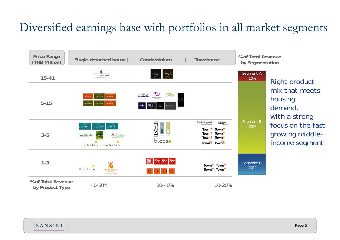## Diversified earnings base with portfolios in all market segments

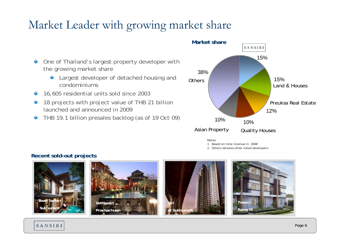## Market Leader with growing market share



- **Q** Largest developer of detached housing and condominiums
- 16,605 residential units sold since 2003  $\bullet$
- 18 projects with project value of THB 21 billion  $\bullet$ launched and announced in 2009
- THB 19.1 billion presales backlog (as of 19 Oct 09)  $\bullet$



Notes:

1 Based on total revenue in 2008

2 Others denotes other listed developers

#### **Recent sold-out projects**

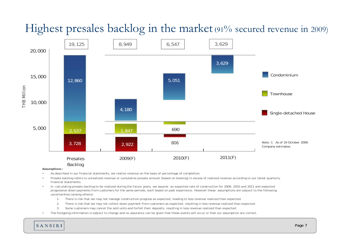

### Highest presales backlog in the market (91% secured revenue in 2009)

**Assumptions :**

- As described in our financial statements, we realize revenue on the basis of percentage of completion.
- •Presale backlog refers to unrealized revenue or cumulative presale amount (based on booking) in excess of realized revenue according to our latest quarterly financial statements.
- • In calculating presale backlog to be realized during the future years, we assume an expected rate of construction for 2009, 2010 and 2011 and expected progressive down payments from customers for the same periods, each based on past experience. However these assumptions are subject to the following uncertainties (among others):
	- 1.There is risk that we may not manage construction progress as expected, leading to less revenue realized than expected.
	- 2.There is risk that we may not collect down payment from customers as expected, resulting in less revenue realized than expected.
	- 3.Some customers may cancel the sold units and forfeit their deposits, resulting in less revenue realized than expected.
- The foregoing information is subject to change and no assurance can be given that these events will occur or that our assumption are correct.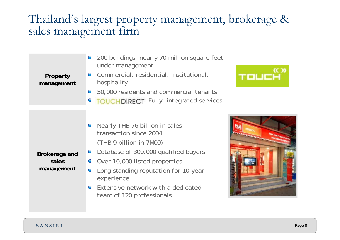### Thailand's largest property management, brokerage & sales management firm

| Property<br>management               | 200 buildings, nearly 70 million square feet<br>under management<br>Commercial, residential, institutional,<br>$\bullet$<br>hospitality<br>50,000 residents and commercial tenants<br>$\bigcirc$<br><b>• TOUCHDIRECT</b> Fully- integrated services                                                          | TOUCH |
|--------------------------------------|--------------------------------------------------------------------------------------------------------------------------------------------------------------------------------------------------------------------------------------------------------------------------------------------------------------|-------|
| Brokerage and<br>sales<br>management | Nearly THB 76 billion in sales<br>transaction since 2004<br>(THB 9 billion in 7M09)<br>Database of 300,000 qualified buyers<br>$\bullet$<br>Over 10,000 listed properties<br>Long-standing reputation for 10-year<br>experience<br>$\bullet$ Extensive network with a dedicated<br>team of 120 professionals |       |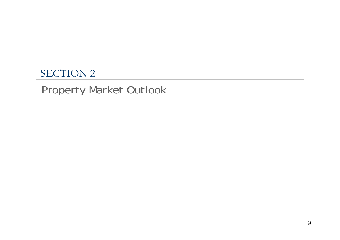### SECTION 2

## Property Market Outlook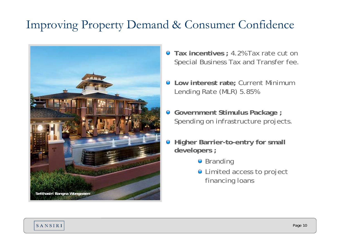## Improving Property Demand & Consumer Confidence



- **Tax incentives ;** 4.2% Tax rate cut on Special Business Tax and Transfer fee.
- **Low interest rate;** Current Minimum Lending Rate (MLR) 5.85%
- **Government Stimulus Package ;**  Spending on infrastructure projects.
- $\bullet$  **Higher Barrier-to-entry for small developers ;**
	- **•** Branding
	- $\bullet$  Limited access to project financing loans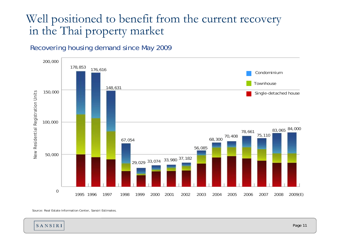### Well positioned to benefit from the current recovery in the Thai property market

#### Recovering housing demand since May 2009



Source: Real Estate Information Center, Sansiri Estimates.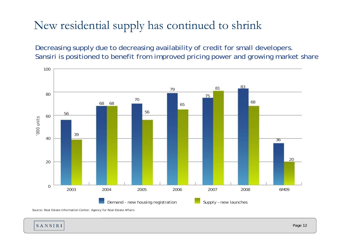## New residential supply has continued to shrink

Decreasing supply due to decreasing availability of credit for small developers. Sansiri is positioned to benefit from improved pricing power and growing market share



Source: Real Estate Information Center, Agency for Real Estate Affairs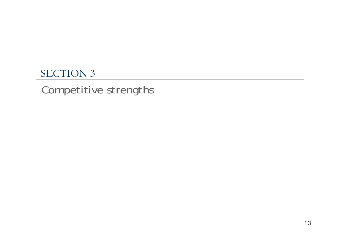### SECTION 3

## Competitive strengths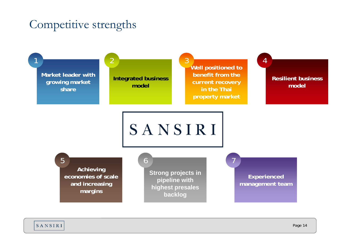### Competitive strengths

**Market leader with growing market share** 

5

1

**Integrated business model**

6

2

**Well positioned to benefit from the current recovery in the Thai property market**  $\mathsf{R}$ 

7

**Resilient business model** 

SANSIRI

**Achieving economies of scale and increasing margins**

**Strong projects in pipeline with highest presales backlog**

**Experienced management team** 

4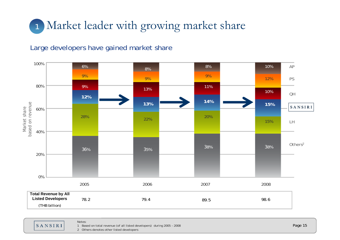## Market leader with growing market share 1

#### Large developers have gained market share



SANSIRI

Notes:

1 Based on total revenue (of all listed developers) during 2005 – 2008

2 Others denotes other listed developers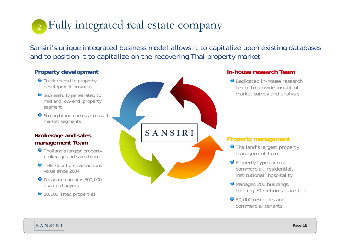#### Fully integrated real estate company 2

Sansiri's unique integrated business model allows it to capitalize upon existing databases and to position it to capitalize on the recovering Thai property market

#### **Property development**

- **O** Track record in property development business
- Successfully penetrated to mid and low-end property segment
- Strong brand names across all market segments

#### **Brokerage and sales management Team**

- Thailand's largest property brokerage and sales team
- **O** THB 76 billion transactions value since 2004
- Database contains 300,000 qualified buyers
- 10,000 listed properties



#### **In-house research Team**

Dedicated in-house research team to provide insightful market survey and analysis

#### **Property management**

- Thailand's largest property management firm
- **O** Property types across commercial, residential, institutional, hospitality
- Manages 200 buildings, totaling 70 million square feet
- 50,000 residents and commercial tenants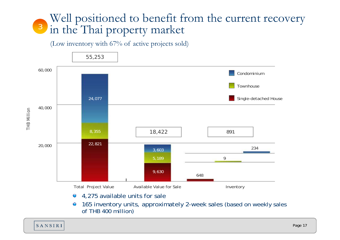#### Well positioned to benefit from the current recovery in the Thai property market 3

(Low inventory with 67% of active projects sold)



4,275 available units for sale  $\bigcirc$ 

165 inventory units, approximately 2-week sales (based on weekly sales  $\bullet$ of THB 400 million)

THB Million THB Million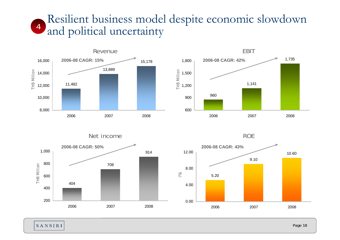#### Resilient business model despite economic slowdown and political uncertainty 4











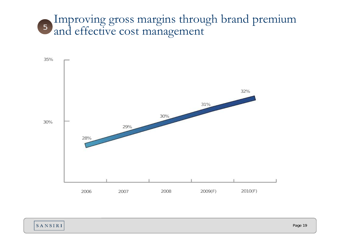#### Improving gross margins through brand premium and effective cost management 5

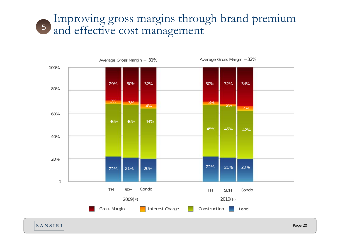#### Improving gross margins through brand premium and effective cost management 5

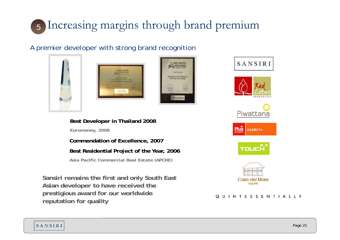## Increasing margins through brand premium 5

#### A premier developer with strong brand recognition







**Best Developer in Thailand 2008**

*Euromoney, 2008*

**Commendation of Excellence, 2007**

#### **Best Residential Project of the Year, 2006**

*Asia Pacific Commercial Real Estate (APCRE)*

**Sansiri remains the first and only South East Asian developer to have received the prestigious award for our worldwide reputation for quality**





#### Q U I N T E S S E N T I A L L Y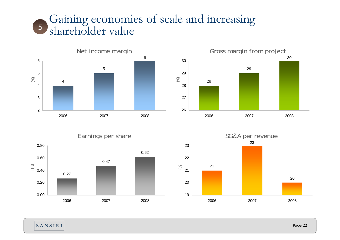#### Gaining economies of scale and increasing shareholder value 5





Earnings per share



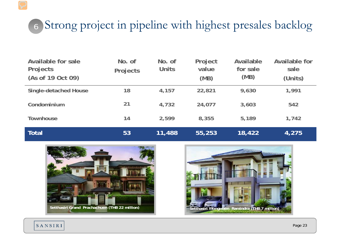## 6 Strong project in pipeline with highest presales backlog

| Available for sale<br>Projects<br>(As of 19 Oct 09) | No. of<br>Projects | No. of<br><b>Units</b> | Project<br>value<br>(MB) | Available<br>for sale<br>(MB) | <b>Available for</b><br>sale<br>(Units) |
|-----------------------------------------------------|--------------------|------------------------|--------------------------|-------------------------------|-----------------------------------------|
| <b>Single-detached House</b>                        | 18                 | 4,157                  | 22,821                   | 9,630                         | 1,991                                   |
| Condominium                                         | 21                 | 4,732                  | 24,077                   | 3,603                         | 542                                     |
| <b>Townhouse</b>                                    | 14                 | 2,599                  | 8,355                    | 5,189                         | 1,742                                   |
| Total                                               | 53                 | 11,488                 | 55,253                   | 18,422                        | 4,275                                   |



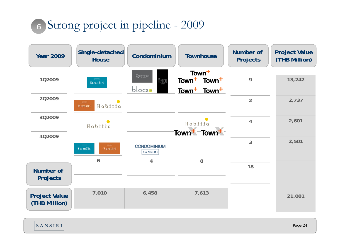## Strong project in pipeline - 2009 6

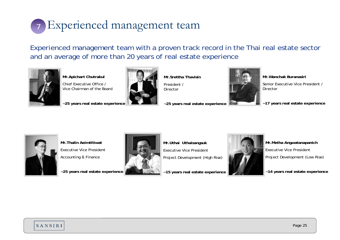

Experienced management team with a proven track record in the Thai real estate sector and an average of more than 20 years of real estate experience



**Mr.Apichart Chutrakul**

Chief Executive Office / Vice Chairman of the Board

**~25 years real estate experience**



**Mr.Srettha Thavisin**President /Director

**~25 years real estate experience**



**Mr.Wanchak Buranasiri**

Senior Executive Vice President /Director

**~17 years real estate experience**



**Mr.Thalin Aeimtitiwat**Executive Vice President Accounting & Finance

**~25 years real estate experience**



**Mr.Uthai Uthaisangsuk**

Executive Vice President

Project Development (High Rise)

**~15 years real estate experience**



**Mr.Metha Angwatanapanich** Executive Vice President Project Development (Low Rise)

**~14 years real estate experience**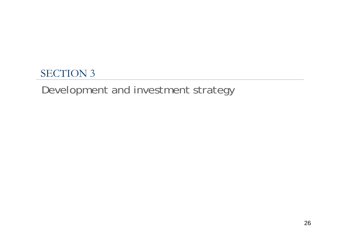### SECTION 3

### Development and investment strategy